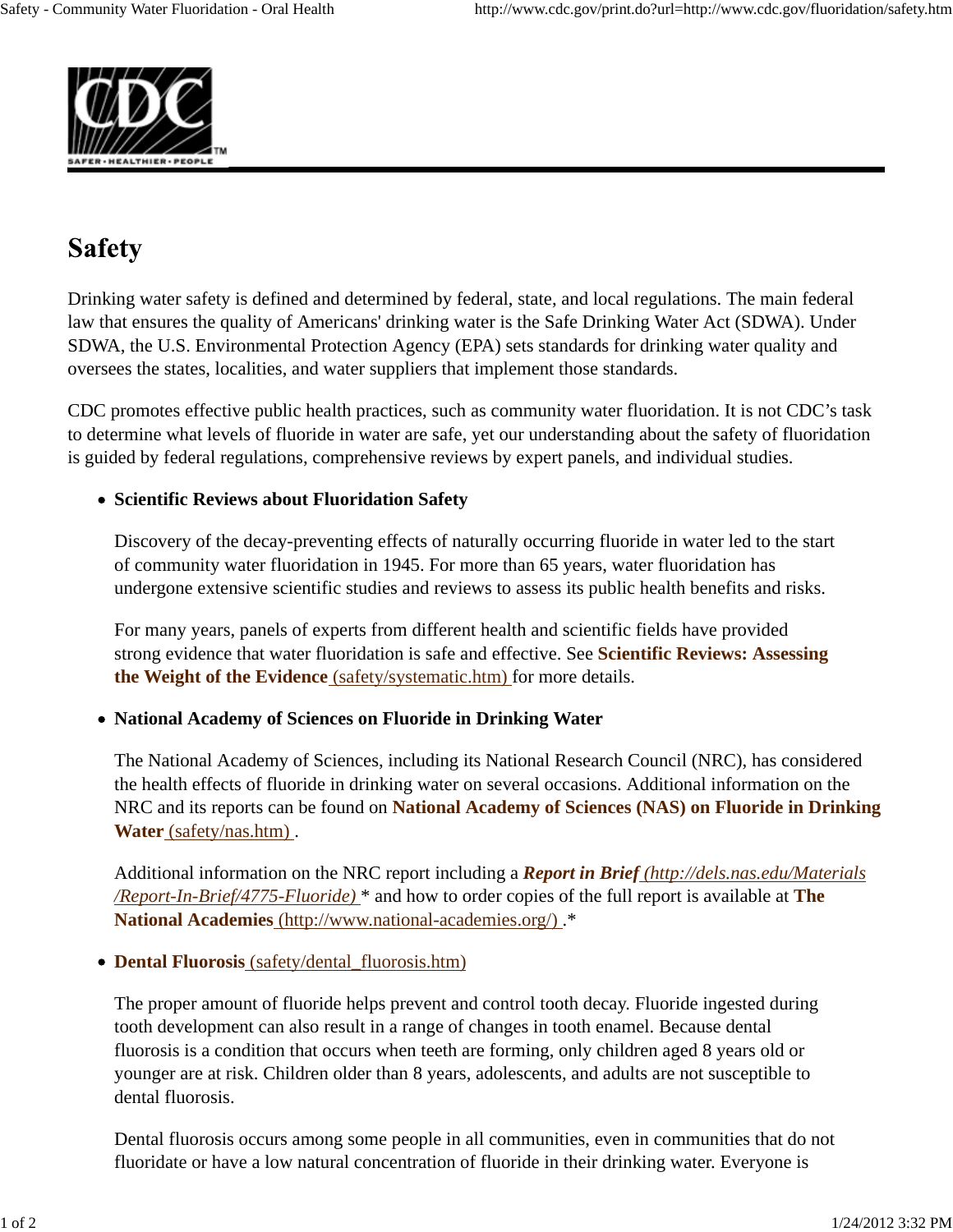

# **Safety**

Drinking water safety is defined and determined by federal, state, and local regulations. The main federal law that ensures the quality of Americans' drinking water is the Safe Drinking Water Act (SDWA). Under SDWA, the U.S. Environmental Protection Agency (EPA) sets standards for drinking water quality and oversees the states, localities, and water suppliers that implement those standards.

CDC promotes effective public health practices, such as community water fluoridation. It is not CDC's task to determine what levels of fluoride in water are safe, yet our understanding about the safety of fluoridation is guided by federal regulations, comprehensive reviews by expert panels, and individual studies.

## **Scientific Reviews about Fluoridation Safety**

Discovery of the decay-preventing effects of naturally occurring fluoride in water led to the start of community water fluoridation in 1945. For more than 65 years, water fluoridation has undergone extensive scientific studies and reviews to assess its public health benefits and risks.

For many years, panels of experts from different health and scientific fields have provided strong evidence that water fluoridation is safe and effective. See **Scientific Reviews: Assessing the Weight of the Evidence** (safety/systematic.htm) for more details.

## **National Academy of Sciences on Fluoride in Drinking Water**

The National Academy of Sciences, including its National Research Council (NRC), has considered the health effects of fluoride in drinking water on several occasions. Additional information on the NRC and its reports can be found on **National Academy of Sciences (NAS) on Fluoride in Drinking Water** (safety/nas.htm) .

Additional information on the NRC report including a *Report in Brief (http://dels.nas.edu/Materials /Report-In-Brief/4775-Fluoride)* \* and how to order copies of the full report is available at **The National Academies** (http://www.national-academies.org/) .\*

## **Dental Fluorosis** (safety/dental\_fluorosis.htm)

The proper amount of fluoride helps prevent and control tooth decay. Fluoride ingested during tooth development can also result in a range of changes in tooth enamel. Because dental fluorosis is a condition that occurs when teeth are forming, only children aged 8 years old or younger are at risk. Children older than 8 years, adolescents, and adults are not susceptible to dental fluorosis.

Dental fluorosis occurs among some people in all communities, even in communities that do not fluoridate or have a low natural concentration of fluoride in their drinking water. Everyone is